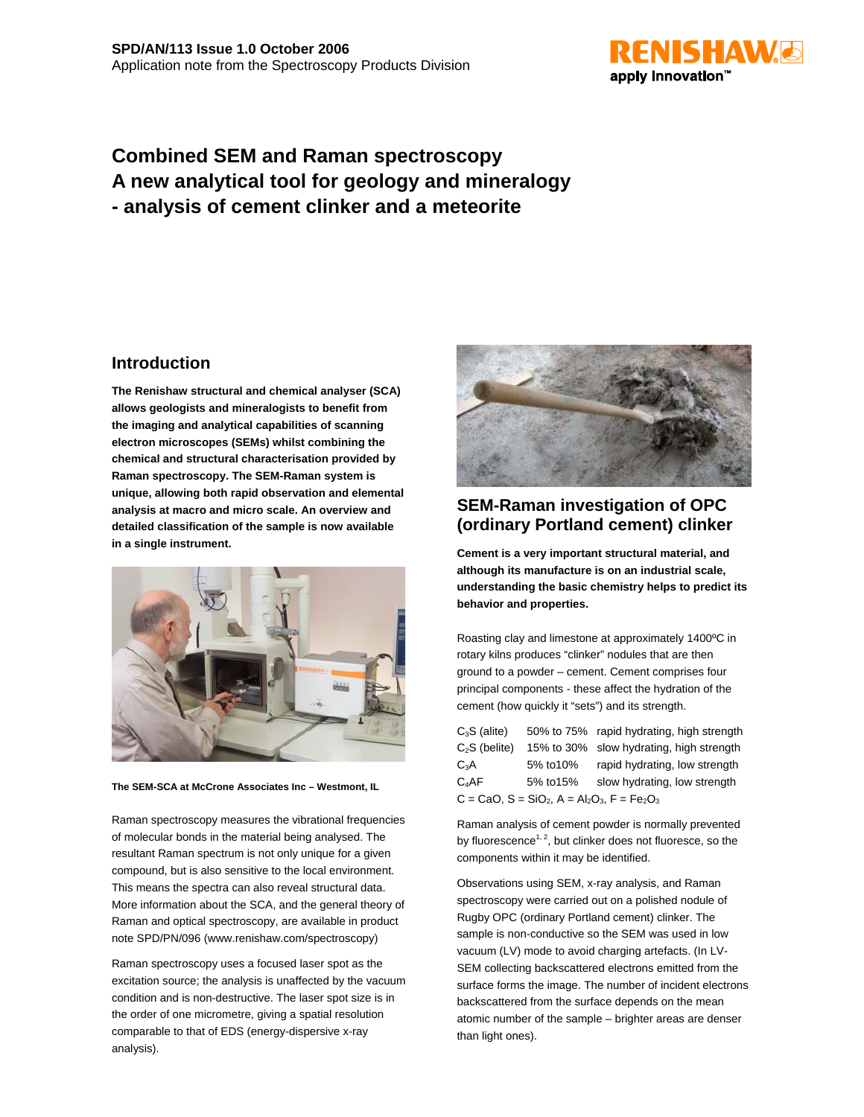

# **Combined SEM and Raman spectroscopy A new analytical tool for geology and mineralogy - analysis of cement clinker and a meteorite**

### **Introduction**

**The Renishaw structural and chemical analyser (SCA) allows geologists and mineralogists to benefit from the imaging and analytical capabilities of scanning electron microscopes (SEMs) whilst combining the chemical and structural characterisation provided by Raman spectroscopy. The SEM-Raman system is unique, allowing both rapid observation and elemental analysis at macro and micro scale. An overview and detailed classification of the sample is now available in a single instrument.**



**The SEM-SCA at McCrone Associates Inc – Westmont, IL**

Raman spectroscopy measures the vibrational frequencies of molecular bonds in the material being analysed. The resultant Raman spectrum is not only unique for a given compound, but is also sensitive to the local environment. This means the spectra can also reveal structural data. More information about the SCA, and the general theory of Raman and optical spectroscopy, are available in product note SPD/PN/096 (www.renishaw.com/spectroscopy)

Raman spectroscopy uses a focused laser spot as the excitation source; the analysis is unaffected by the vacuum condition and is non-destructive. The laser spot size is in the order of one micrometre, giving a spatial resolution comparable to that of EDS (energy-dispersive x-ray analysis).



# **SEM-Raman investigation of OPC (ordinary Portland cement) clinker**

**Cement is a very important structural material, and although its manufacture is on an industrial scale, understanding the basic chemistry helps to predict its behavior and properties.**

Roasting clay and limestone at approximately 1400ºC in rotary kilns produces "clinker" nodules that are then ground to a powder – cement. Cement comprises four principal components - these affect the hydration of the cement (how quickly it "sets") and its strength.

| $C_3S$ (alite)                                     |           | 50% to 75% rapid hydrating, high strength |
|----------------------------------------------------|-----------|-------------------------------------------|
| $C2S$ (belite)                                     |           | 15% to 30% slow hydrating, high strength  |
| $C_3A$                                             | 5% to 10% | rapid hydrating, low strength             |
| C <sub>a</sub> AF                                  | 5% to 15% | slow hydrating, low strength              |
| $C = CaO$ , $S = SiO2$ , $A = Al2O3$ , $F = Fe2O3$ |           |                                           |

Raman analysis of cement powder is normally prevented by fluorescence<sup>1, 2</sup>, but clinker does not fluoresce, so the components within it may be identified.

Observations using SEM, x-ray analysis, and Raman spectroscopy were carried out on a polished nodule of Rugby OPC (ordinary Portland cement) clinker. The sample is non-conductive so the SEM was used in low vacuum (LV) mode to avoid charging artefacts. (In LV-SEM collecting backscattered electrons emitted from the surface forms the image. The number of incident electrons backscattered from the surface depends on the mean atomic number of the sample – brighter areas are denser than light ones).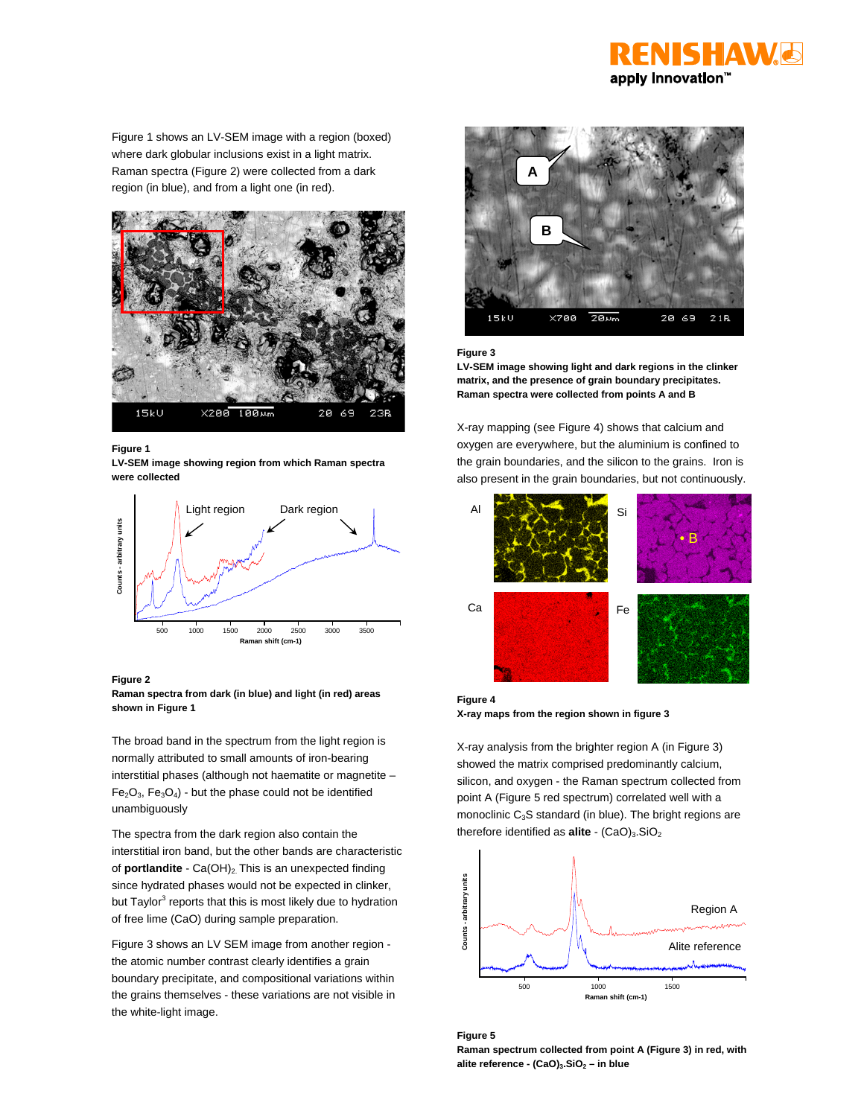

Figure 1 shows an LV-SEM image with a region (boxed) where dark globular inclusions exist in a light matrix. Raman spectra (Figure 2) were collected from a dark region (in blue), and from a light one (in red).



#### **Figure 1**

**LV-SEM image showing region from which Raman spectra were collected**



#### **Figure 2**



The broad band in the spectrum from the light region is normally attributed to small amounts of iron-bearing interstitial phases (although not haematite or magnetite –  $Fe<sub>2</sub>O<sub>3</sub>$ ,  $Fe<sub>3</sub>O<sub>4</sub>$ ) - but the phase could not be identified unambiguously

The spectra from the dark region also contain the interstitial iron band, but the other bands are characteristic of **portlandite** - Ca(OH)<sub>2.</sub> This is an unexpected finding since hydrated phases would not be expected in clinker, but Taylor $^3$  reports that this is most likely due to hydration of free lime (CaO) during sample preparation.

Figure 3 shows an LV SEM image from another region the atomic number contrast clearly identifies a grain boundary precipitate, and compositional variations within the grains themselves - these variations are not visible in the white-light image.



#### **Figure 3**

**LV-SEM image showing light and dark regions in the clinker matrix, and the presence of grain boundary precipitates. Raman spectra were collected from points A and B**

X-ray mapping (see Figure 4) shows that calcium and oxygen are everywhere, but the aluminium is confined to the grain boundaries, and the silicon to the grains. Iron is also present in the grain boundaries, but not continuously.



**Figure 4 X-ray maps from the region shown in figure 3**

X-ray analysis from the brighter region A (in Figure 3) showed the matrix comprised predominantly calcium, silicon, and oxygen - the Raman spectrum collected from point A (Figure 5 red spectrum) correlated well with a monoclinic  $C_3S$  standard (in blue). The bright regions are therefore identified as **alite** - (CaO)<sub>3</sub>.SiO<sub>2</sub>



**Figure 5 Raman spectrum collected from point A (Figure 3) in red, with** alite reference - (CaO)<sub>3</sub>.SiO<sub>2</sub> – in blue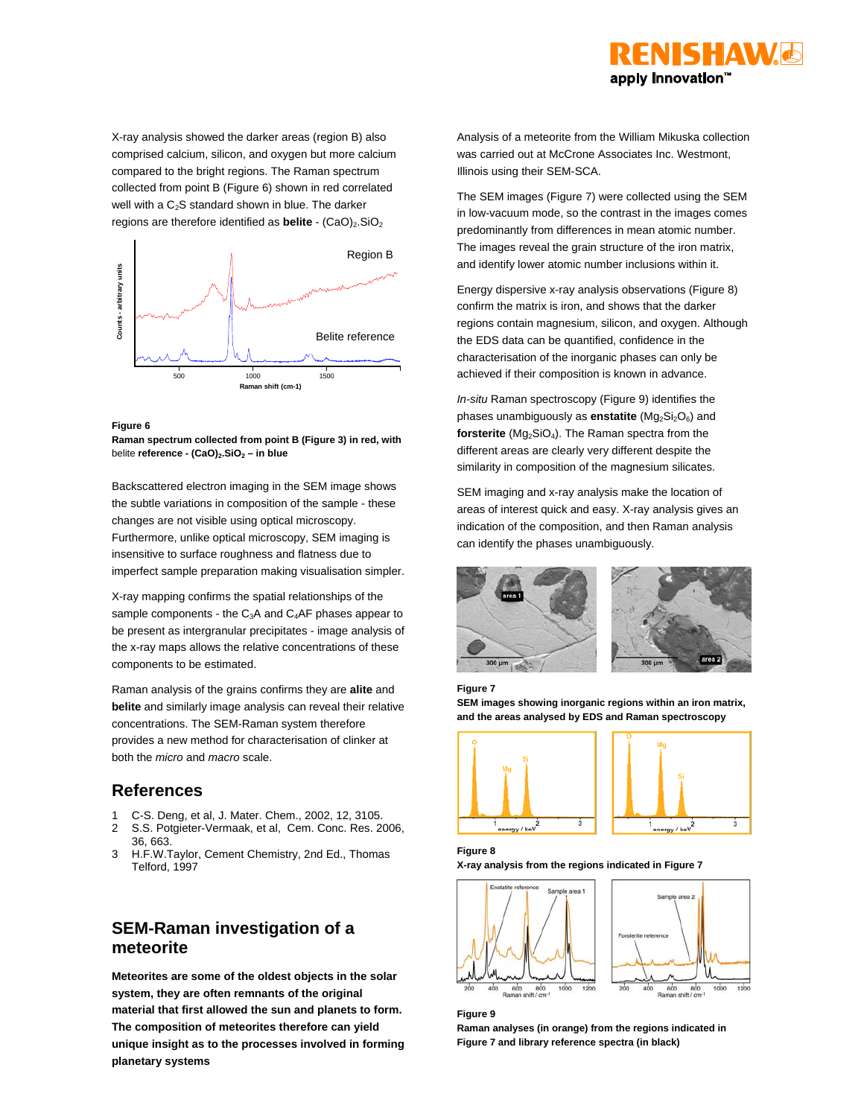

X-ray analysis showed the darker areas (region B) also comprised calcium, silicon, and oxygen but more calcium compared to the bright regions. The Raman spectrum collected from point B (Figure 6) shown in red correlated well with a  $C<sub>2</sub>S$  standard shown in blue. The darker regions are therefore identified as **belite** - (CaO)<sub>2</sub>.SiO<sub>2</sub>



#### **Figure 6**

**Raman spectrum collected from point B (Figure 3) in red, with** belite reference - (CaO)<sub>2</sub>.SiO<sub>2</sub> – in blue

Backscattered electron imaging in the SEM image shows the subtle variations in composition of the sample - these changes are not visible using optical microscopy. Furthermore, unlike optical microscopy, SEM imaging is insensitive to surface roughness and flatness due to imperfect sample preparation making visualisation simpler.

X-ray mapping confirms the spatial relationships of the sample components - the  $C_3A$  and  $C_4AF$  phases appear to be present as intergranular precipitates - image analysis of the x-ray maps allows the relative concentrations of these components to be estimated.

Raman analysis of the grains confirms they are **alite** and **belite** and similarly image analysis can reveal their relative concentrations. The SEM-Raman system therefore provides a new method for characterisation of clinker at both the *micro* and *macro* scale.

### **References**

- 1 C-S. Deng, et al, J. Mater. Chem., 2002, 12, 3105.
- 2 S.S. Potgieter-Vermaak, et al, Cem. Conc. Res. 2006, 36, 663.
- 3 H.F.W.Taylor, Cement Chemistry, 2nd Ed., Thomas Telford, 1997

## **SEM-Raman investigation of a meteorite**

**Meteorites are some of the oldest objects in the solar system, they are often remnants of the original material that first allowed the sun and planets to form. The composition of meteorites therefore can yield unique insight as to the processes involved in forming planetary systems**

Analysis of a meteorite from the William Mikuska collection was carried out at McCrone Associates Inc. Westmont, Illinois using their SEM-SCA.

The SEM images (Figure 7) were collected using the SEM in low-vacuum mode, so the contrast in the images comes predominantly from differences in mean atomic number. The images reveal the grain structure of the iron matrix, and identify lower atomic number inclusions within it.

Energy dispersive x-ray analysis observations (Figure 8) confirm the matrix is iron, and shows that the darker regions contain magnesium, silicon, and oxygen. Although the EDS data can be quantified, confidence in the characterisation of the inorganic phases can only be achieved if their composition is known in advance.

*In-situ* Raman spectroscopy (Figure 9) identifies the phases unambiguously as **enstatite** (Mg<sub>2</sub>Si<sub>2</sub>O<sub>6</sub>) and forsterite (Mg<sub>2</sub>SiO<sub>4</sub>). The Raman spectra from the different areas are clearly very different despite the similarity in composition of the magnesium silicates.

SEM imaging and x-ray analysis make the location of areas of interest quick and easy. X-ray analysis gives an indication of the composition, and then Raman analysis can identify the phases unambiguously.











#### **Figure 8**

**Figure 7**

**X-ray analysis from the regions indicated in Figure 7**



### **Figure 9**

**Raman analyses (in orange) from the regions indicated in Figure 7 and library reference spectra (in black)**